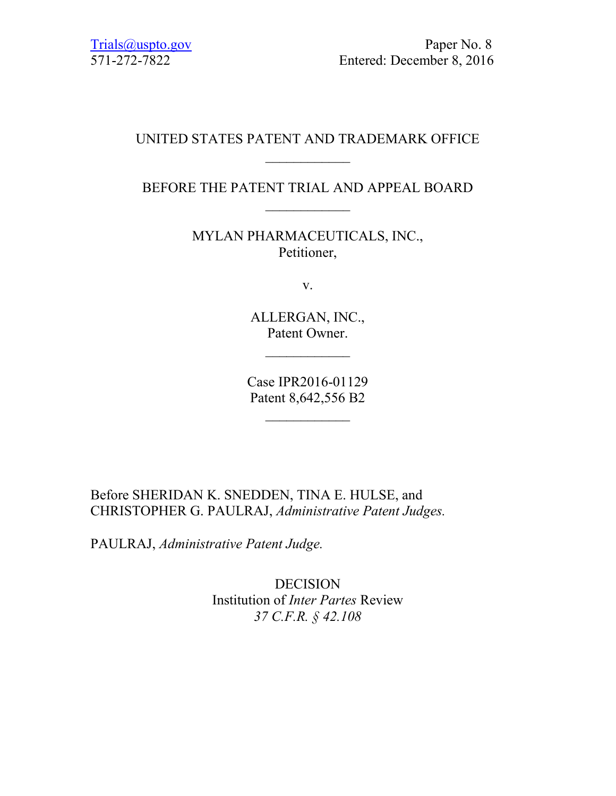## UNITED STATES PATENT AND TRADEMARK OFFICE  $\frac{1}{2}$

# BEFORE THE PATENT TRIAL AND APPEAL BOARD  $\frac{1}{2}$

MYLAN PHARMACEUTICALS, INC., Petitioner,

v.

ALLERGAN, INC., Patent Owner.

Case IPR2016-01129 Patent 8,642,556 B2

 $\frac{1}{2}$ 

Before SHERIDAN K. SNEDDEN, TINA E. HULSE, and CHRISTOPHER G. PAULRAJ, *Administrative Patent Judges.*

PAULRAJ, *Administrative Patent Judge.*

DECISION Institution of *Inter Partes* Review *37 C.F.R. § 42.108*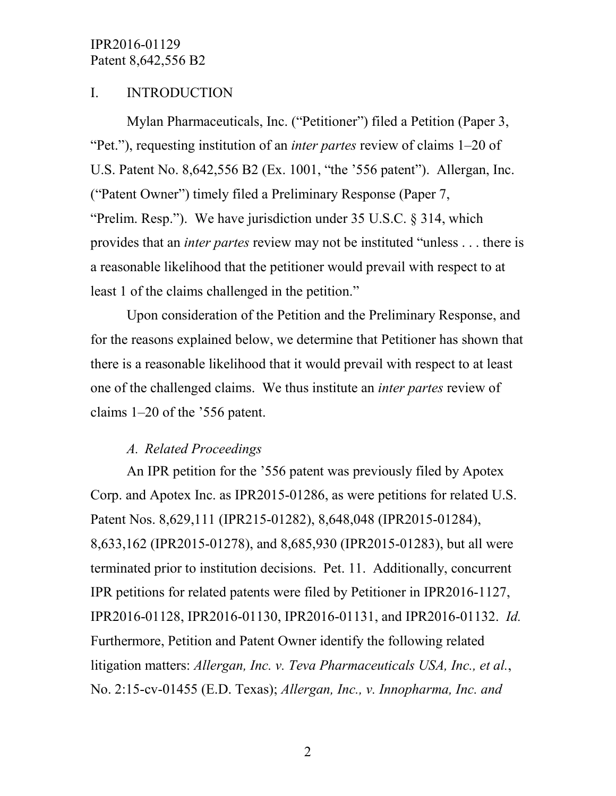## I. INTRODUCTION

Mylan Pharmaceuticals, Inc. ("Petitioner") filed a Petition (Paper 3, "Pet."), requesting institution of an *inter partes* review of claims 1–20 of U.S. Patent No. 8,642,556 B2 (Ex. 1001, "the '556 patent"). Allergan, Inc. ("Patent Owner") timely filed a Preliminary Response (Paper 7, "Prelim. Resp."). We have jurisdiction under 35 U.S.C. § 314, which provides that an *inter partes* review may not be instituted "unless . . . there is a reasonable likelihood that the petitioner would prevail with respect to at least 1 of the claims challenged in the petition."

Upon consideration of the Petition and the Preliminary Response, and for the reasons explained below, we determine that Petitioner has shown that there is a reasonable likelihood that it would prevail with respect to at least one of the challenged claims. We thus institute an *inter partes* review of claims 1–20 of the '556 patent.

### *A. Related Proceedings*

An IPR petition for the '556 patent was previously filed by Apotex Corp. and Apotex Inc. as IPR2015-01286, as were petitions for related U.S. Patent Nos. 8,629,111 (IPR215-01282), 8,648,048 (IPR2015-01284), 8,633,162 (IPR2015-01278), and 8,685,930 (IPR2015-01283), but all were terminated prior to institution decisions. Pet. 11. Additionally, concurrent IPR petitions for related patents were filed by Petitioner in IPR2016-1127, IPR2016-01128, IPR2016-01130, IPR2016-01131, and IPR2016-01132. *Id.* Furthermore, Petition and Patent Owner identify the following related litigation matters: *Allergan, Inc. v. Teva Pharmaceuticals USA, Inc., et al.*, No. 2:15-cv-01455 (E.D. Texas); *Allergan, Inc., v. Innopharma, Inc. and*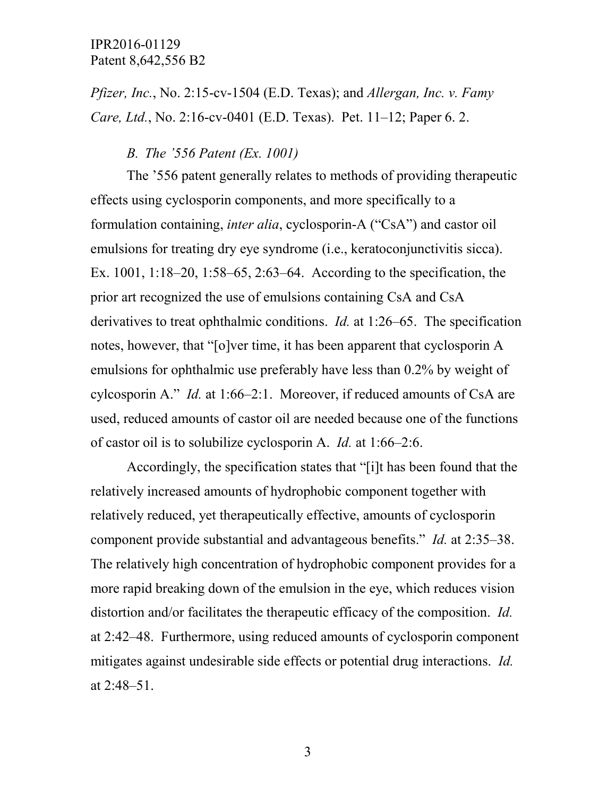*Pfizer, Inc.*, No. 2:15-cv-1504 (E.D. Texas); and *Allergan, Inc. v. Famy Care, Ltd.*, No. 2:16-cv-0401 (E.D. Texas). Pet. 11–12; Paper 6. 2.

#### *B. The '556 Patent (Ex. 1001)*

The '556 patent generally relates to methods of providing therapeutic effects using cyclosporin components, and more specifically to a formulation containing, *inter alia*, cyclosporin-A ("CsA") and castor oil emulsions for treating dry eye syndrome (i.e., keratoconjunctivitis sicca). Ex. 1001, 1:18–20, 1:58–65, 2:63–64. According to the specification, the prior art recognized the use of emulsions containing CsA and CsA derivatives to treat ophthalmic conditions. *Id.* at 1:26–65. The specification notes, however, that "[o]ver time, it has been apparent that cyclosporin A emulsions for ophthalmic use preferably have less than 0.2% by weight of cylcosporin A." *Id.* at 1:66–2:1. Moreover, if reduced amounts of CsA are used, reduced amounts of castor oil are needed because one of the functions of castor oil is to solubilize cyclosporin A. *Id.* at 1:66–2:6.

Accordingly, the specification states that "[i]t has been found that the relatively increased amounts of hydrophobic component together with relatively reduced, yet therapeutically effective, amounts of cyclosporin component provide substantial and advantageous benefits." *Id.* at 2:35–38. The relatively high concentration of hydrophobic component provides for a more rapid breaking down of the emulsion in the eye, which reduces vision distortion and/or facilitates the therapeutic efficacy of the composition. *Id.* at 2:42–48. Furthermore, using reduced amounts of cyclosporin component mitigates against undesirable side effects or potential drug interactions. *Id.* at 2:48–51.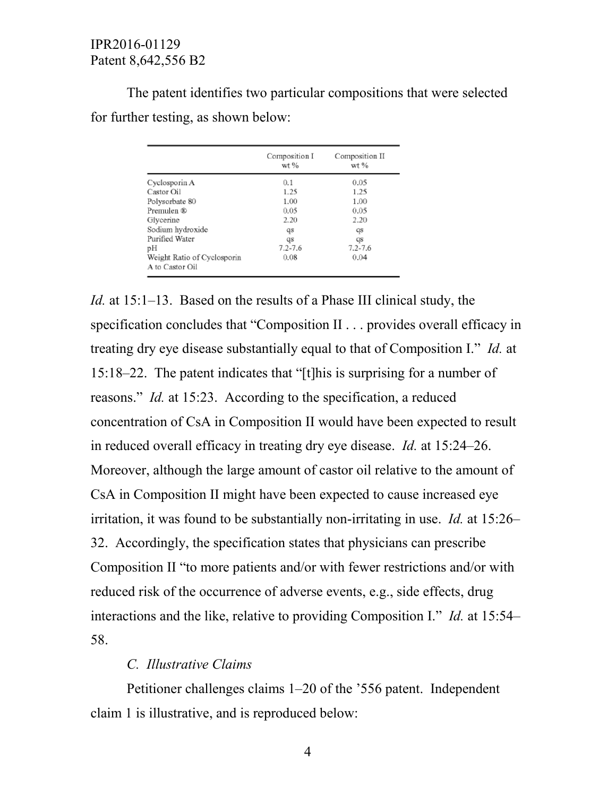The patent identifies two particular compositions that were selected for further testing, as shown below:

|                                                | Composition I<br>$wt$ % | Composition II<br>wt % |  |
|------------------------------------------------|-------------------------|------------------------|--|
| Cyclosporin A                                  | 0.1                     | 0.05                   |  |
| Castor Oil                                     | 1.25                    | 1.25                   |  |
| Polysorbate 80                                 | 1.00                    | 1.00                   |  |
| Premulen ®                                     | 0.05                    | 0.05                   |  |
| Glycerine                                      | 2.20                    | 2.20                   |  |
| Sodium hydroxide                               | qs                      | qs                     |  |
| Purified Water                                 | qs                      | qs                     |  |
| pН                                             | $7.2 - 7.6$             | $7.2 - 7.6$            |  |
| Weight Ratio of Cyclosporin<br>A to Castor Oil | 0.08                    | 0.04                   |  |

*Id.* at 15:1–13. Based on the results of a Phase III clinical study, the specification concludes that "Composition II . . . provides overall efficacy in treating dry eye disease substantially equal to that of Composition I." *Id.* at 15:18–22. The patent indicates that "[t]his is surprising for a number of reasons." *Id.* at 15:23. According to the specification, a reduced concentration of CsA in Composition II would have been expected to result in reduced overall efficacy in treating dry eye disease. *Id.* at 15:24–26. Moreover, although the large amount of castor oil relative to the amount of CsA in Composition II might have been expected to cause increased eye irritation, it was found to be substantially non-irritating in use. *Id.* at 15:26– 32. Accordingly, the specification states that physicians can prescribe Composition II "to more patients and/or with fewer restrictions and/or with reduced risk of the occurrence of adverse events, e.g., side effects, drug interactions and the like, relative to providing Composition I." *Id.* at 15:54– 58.

# *C. Illustrative Claims*

Petitioner challenges claims 1–20 of the '556 patent. Independent claim 1 is illustrative, and is reproduced below: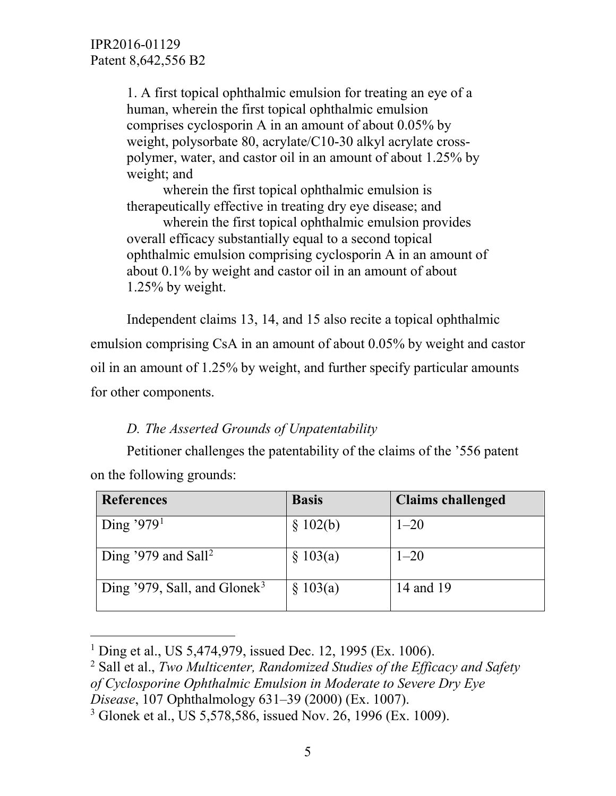1. A first topical ophthalmic emulsion for treating an eye of a human, wherein the first topical ophthalmic emulsion comprises cyclosporin A in an amount of about 0.05% by weight, polysorbate 80, acrylate/C10-30 alkyl acrylate crosspolymer, water, and castor oil in an amount of about 1.25% by weight; and

wherein the first topical ophthalmic emulsion is therapeutically effective in treating dry eye disease; and

wherein the first topical ophthalmic emulsion provides overall efficacy substantially equal to a second topical ophthalmic emulsion comprising cyclosporin A in an amount of about 0.1% by weight and castor oil in an amount of about 1.25% by weight.

Independent claims 13, 14, and 15 also recite a topical ophthalmic emulsion comprising CsA in an amount of about 0.05% by weight and castor oil in an amount of 1.25% by weight, and further specify particular amounts for other components.

# *D. The Asserted Grounds of Unpatentability*

Petitioner challenges the patentability of the claims of the '556 patent on the following grounds:

| <b>References</b>                        | <b>Basis</b> | <b>Claims challenged</b> |
|------------------------------------------|--------------|--------------------------|
| Ding '979 <sup>1</sup>                   | \$102(b)     | $1 - 20$                 |
| Ding '979 and Sall <sup>2</sup>          | \$103(a)     | $1 - 20$                 |
| Ding '979, Sall, and Glonek <sup>3</sup> | \$103(a)     | 14 and 19                |

<span id="page-4-0"></span><sup>&</sup>lt;sup>1</sup> Ding et al., US 5,474,979, issued Dec. 12, 1995 (Ex. 1006).

<span id="page-4-1"></span><sup>2</sup> Sall et al., *Two Multicenter, Randomized Studies of the Efficacy and Safety of Cyclosporine Ophthalmic Emulsion in Moderate to Severe Dry Eye Disease*, 107 Ophthalmology 631–39 (2000) (Ex. 1007).

<span id="page-4-2"></span><sup>&</sup>lt;sup>3</sup> Glonek et al., US 5,578,586, issued Nov. 26, 1996 (Ex. 1009).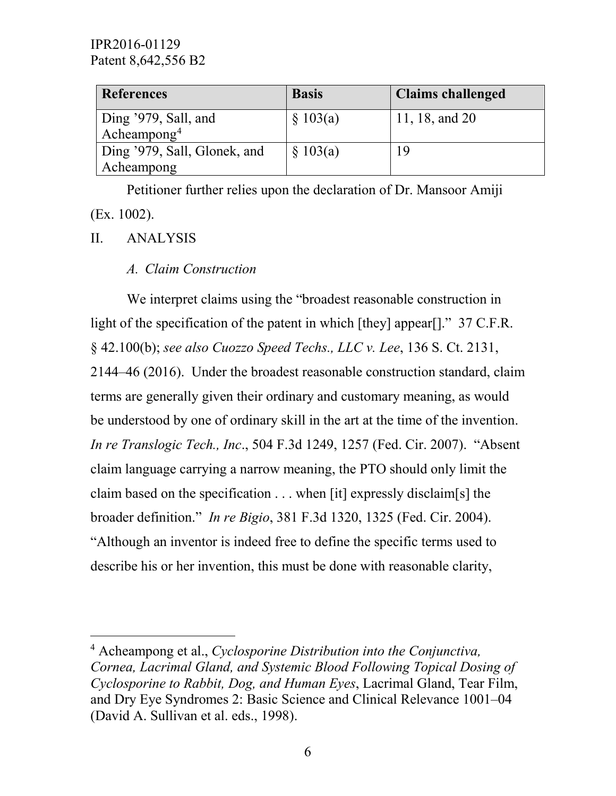| <b>References</b>                                  | <b>Basis</b> | <b>Claims challenged</b> |
|----------------------------------------------------|--------------|--------------------------|
| Ding $'979$ , Sall, and<br>Acheampong <sup>4</sup> | \$103(a)     | 11, 18, and 20           |
| Ding '979, Sall, Glonek, and<br>Acheampong         | \$103(a)     |                          |

Petitioner further relies upon the declaration of Dr. Mansoor Amiji (Ex. 1002).

## II. ANALYSIS

*A. Claim Construction*

We interpret claims using the "broadest reasonable construction in light of the specification of the patent in which [they] appear[]." 37 C.F.R. § 42.100(b); *see also Cuozzo Speed Techs., LLC v. Lee*, 136 S. Ct. 2131, 2144–46 (2016). Under the broadest reasonable construction standard, claim terms are generally given their ordinary and customary meaning, as would be understood by one of ordinary skill in the art at the time of the invention. *In re Translogic Tech., Inc*., 504 F.3d 1249, 1257 (Fed. Cir. 2007). "Absent claim language carrying a narrow meaning, the PTO should only limit the claim based on the specification . . . when [it] expressly disclaim[s] the broader definition." *In re Bigio*, 381 F.3d 1320, 1325 (Fed. Cir. 2004). "Although an inventor is indeed free to define the specific terms used to describe his or her invention, this must be done with reasonable clarity,

<span id="page-5-0"></span> <sup>4</sup> Acheampong et al., *Cyclosporine Distribution into the Conjunctiva, Cornea, Lacrimal Gland, and Systemic Blood Following Topical Dosing of Cyclosporine to Rabbit, Dog, and Human Eyes*, Lacrimal Gland, Tear Film, and Dry Eye Syndromes 2: Basic Science and Clinical Relevance 1001–04 (David A. Sullivan et al. eds., 1998).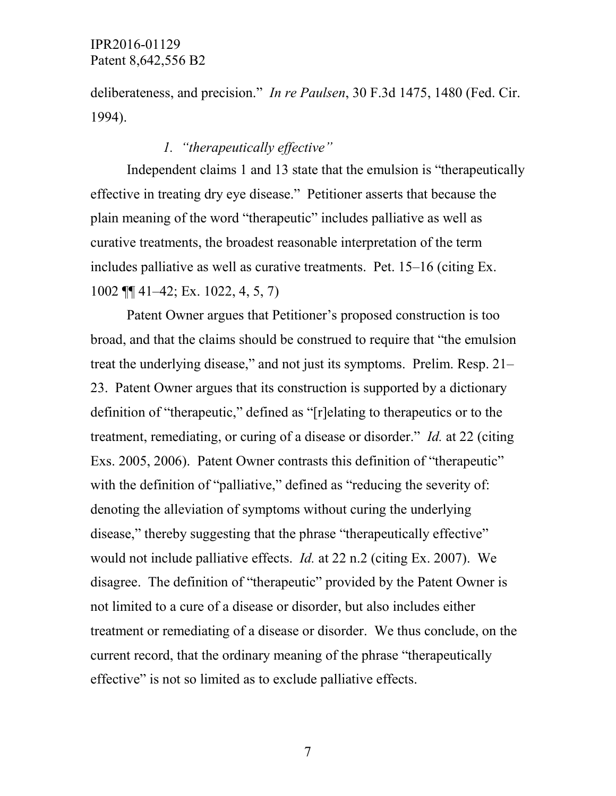deliberateness, and precision." *In re Paulsen*, 30 F.3d 1475, 1480 (Fed. Cir. 1994).

# *1. "therapeutically effective"*

Independent claims 1 and 13 state that the emulsion is "therapeutically effective in treating dry eye disease." Petitioner asserts that because the plain meaning of the word "therapeutic" includes palliative as well as curative treatments, the broadest reasonable interpretation of the term includes palliative as well as curative treatments. Pet. 15–16 (citing Ex. 1002 ¶¶ 41–42; Ex. 1022, 4, 5, 7)

Patent Owner argues that Petitioner's proposed construction is too broad, and that the claims should be construed to require that "the emulsion treat the underlying disease," and not just its symptoms. Prelim. Resp. 21– 23. Patent Owner argues that its construction is supported by a dictionary definition of "therapeutic," defined as "[r]elating to therapeutics or to the treatment, remediating, or curing of a disease or disorder." *Id.* at 22 (citing Exs. 2005, 2006). Patent Owner contrasts this definition of "therapeutic" with the definition of "palliative," defined as "reducing the severity of: denoting the alleviation of symptoms without curing the underlying disease," thereby suggesting that the phrase "therapeutically effective" would not include palliative effects. *Id.* at 22 n.2 (citing Ex. 2007). We disagree. The definition of "therapeutic" provided by the Patent Owner is not limited to a cure of a disease or disorder, but also includes either treatment or remediating of a disease or disorder. We thus conclude, on the current record, that the ordinary meaning of the phrase "therapeutically effective" is not so limited as to exclude palliative effects.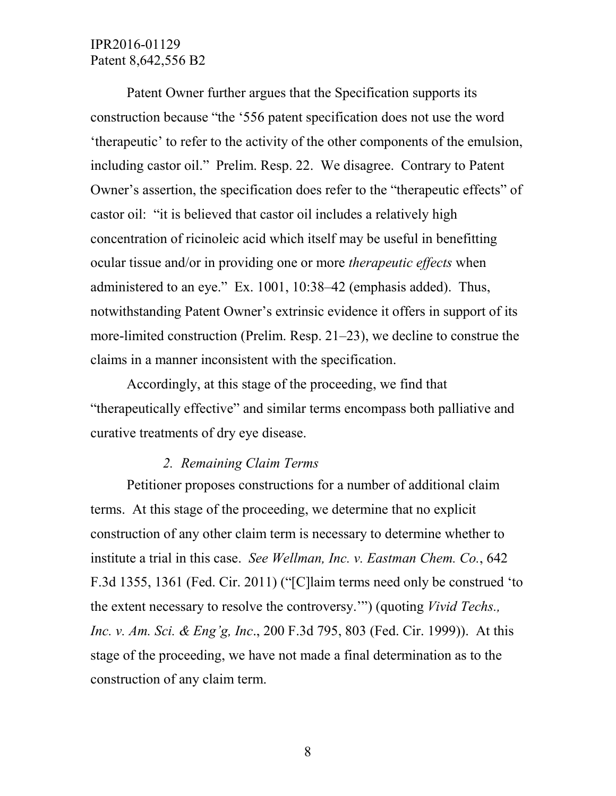Patent Owner further argues that the Specification supports its construction because "the '556 patent specification does not use the word 'therapeutic' to refer to the activity of the other components of the emulsion, including castor oil." Prelim. Resp. 22. We disagree. Contrary to Patent Owner's assertion, the specification does refer to the "therapeutic effects" of castor oil: "it is believed that castor oil includes a relatively high concentration of ricinoleic acid which itself may be useful in benefitting ocular tissue and/or in providing one or more *therapeutic effects* when administered to an eye." Ex. 1001, 10:38–42 (emphasis added). Thus, notwithstanding Patent Owner's extrinsic evidence it offers in support of its more-limited construction (Prelim. Resp. 21–23), we decline to construe the claims in a manner inconsistent with the specification.

Accordingly, at this stage of the proceeding, we find that "therapeutically effective" and similar terms encompass both palliative and curative treatments of dry eye disease.

#### *2. Remaining Claim Terms*

Petitioner proposes constructions for a number of additional claim terms. At this stage of the proceeding, we determine that no explicit construction of any other claim term is necessary to determine whether to institute a trial in this case. *See Wellman, Inc. v. Eastman Chem. Co.*, 642 F.3d 1355, 1361 (Fed. Cir. 2011) ("[C]laim terms need only be construed 'to the extent necessary to resolve the controversy.'") (quoting *Vivid Techs., Inc. v. Am. Sci. & Eng'g, Inc*., 200 F.3d 795, 803 (Fed. Cir. 1999)). At this stage of the proceeding, we have not made a final determination as to the construction of any claim term.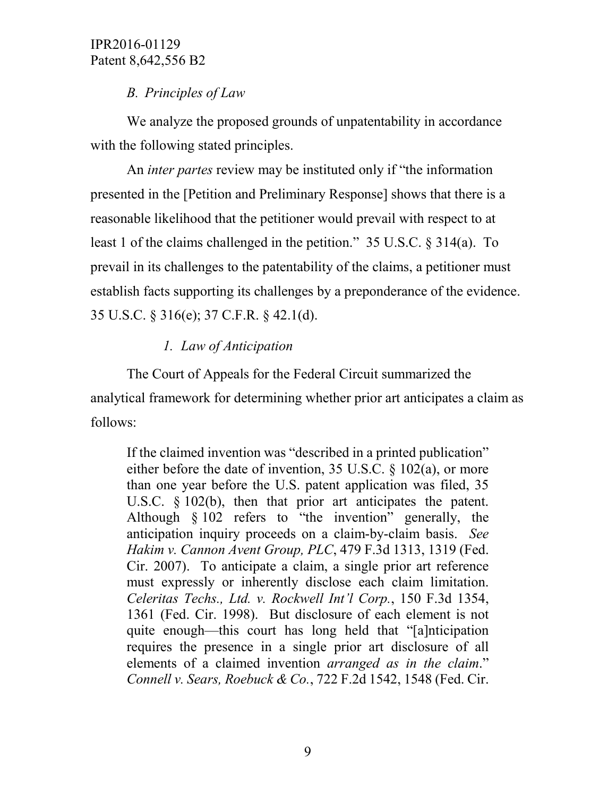# *B. Principles of Law*

We analyze the proposed grounds of unpatentability in accordance with the following stated principles.

An *inter partes* review may be instituted only if "the information presented in the [Petition and Preliminary Response] shows that there is a reasonable likelihood that the petitioner would prevail with respect to at least 1 of the claims challenged in the petition." 35 U.S.C. § 314(a). To prevail in its challenges to the patentability of the claims, a petitioner must establish facts supporting its challenges by a preponderance of the evidence. 35 U.S.C. § 316(e); 37 C.F.R. § 42.1(d).

# *1. Law of Anticipation*

The Court of Appeals for the Federal Circuit summarized the analytical framework for determining whether prior art anticipates a claim as follows:

If the claimed invention was "described in a printed publication" either before the date of invention, 35 U.S.C. § 102(a), or more than one year before the U.S. patent application was filed, 35 U.S.C. § 102(b), then that prior art anticipates the patent. Although § 102 refers to "the invention" generally, the anticipation inquiry proceeds on a claim-by-claim basis. *See Hakim v. Cannon Avent Group, PLC*, 479 F.3d 1313, 1319 (Fed. Cir. 2007). To anticipate a claim, a single prior art reference must expressly or inherently disclose each claim limitation. *Celeritas Techs., Ltd. v. Rockwell Int'l Corp.*, 150 F.3d 1354, 1361 (Fed. Cir. 1998). But disclosure of each element is not quite enough—this court has long held that "[a]nticipation requires the presence in a single prior art disclosure of all elements of a claimed invention *arranged as in the claim*." *Connell v. Sears, Roebuck & Co.*, 722 F.2d 1542, 1548 (Fed. Cir.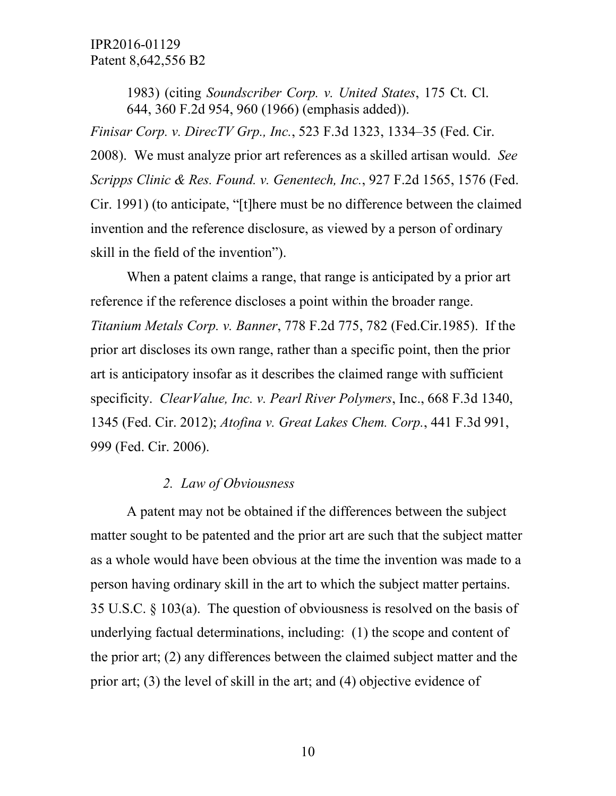1983) (citing *Soundscriber Corp. v. United States*, 175 Ct. Cl. 644, 360 F.2d 954, 960 (1966) (emphasis added)).

*Finisar Corp. v. DirecTV Grp., Inc.*, 523 F.3d 1323, 1334–35 (Fed. Cir. 2008). We must analyze prior art references as a skilled artisan would. *See Scripps Clinic & Res. Found. v. Genentech, Inc.*, 927 F.2d 1565, 1576 (Fed. Cir. 1991) (to anticipate, "[t]here must be no difference between the claimed invention and the reference disclosure, as viewed by a person of ordinary skill in the field of the invention").

When a patent claims a range, that range is anticipated by a prior art reference if the reference discloses a point within the broader range. *Titanium Metals Corp. v. Banner*, 778 F.2d 775, 782 (Fed.Cir.1985). If the prior art discloses its own range, rather than a specific point, then the prior art is anticipatory insofar as it describes the claimed range with sufficient specificity. *ClearValue, Inc. v. Pearl River Polymers*, Inc., 668 F.3d 1340, 1345 (Fed. Cir. 2012); *Atofina v. Great Lakes Chem. Corp.*, 441 F.3d 991, 999 (Fed. Cir. 2006).

#### *2. Law of Obviousness*

A patent may not be obtained if the differences between the subject matter sought to be patented and the prior art are such that the subject matter as a whole would have been obvious at the time the invention was made to a person having ordinary skill in the art to which the subject matter pertains. 35 U.S.C. § 103(a). The question of obviousness is resolved on the basis of underlying factual determinations, including: (1) the scope and content of the prior art; (2) any differences between the claimed subject matter and the prior art; (3) the level of skill in the art; and (4) objective evidence of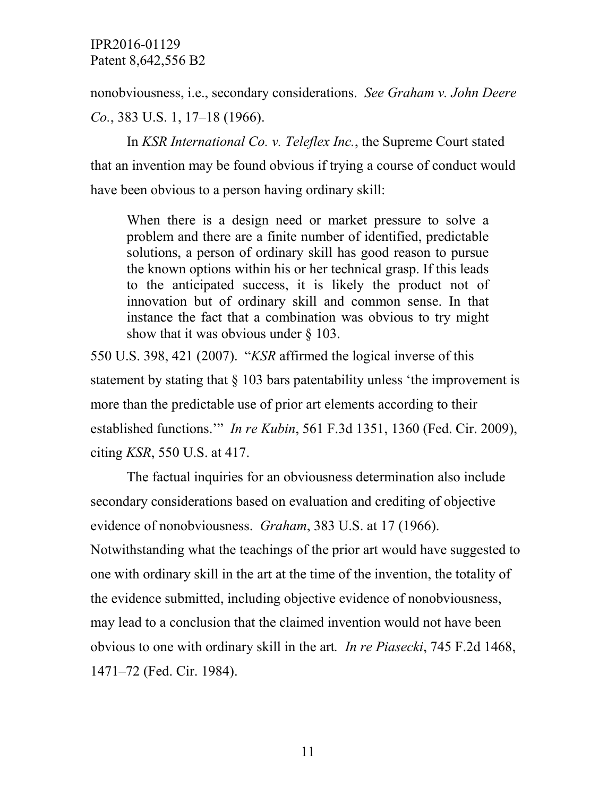nonobviousness, i.e., secondary considerations. *See Graham v. John Deere Co.*, 383 U.S. 1, 17–18 (1966).

In *KSR International Co. v. Teleflex Inc.*, the Supreme Court stated that an invention may be found obvious if trying a course of conduct would have been obvious to a person having ordinary skill:

When there is a design need or market pressure to solve a problem and there are a finite number of identified, predictable solutions, a person of ordinary skill has good reason to pursue the known options within his or her technical grasp. If this leads to the anticipated success, it is likely the product not of innovation but of ordinary skill and common sense. In that instance the fact that a combination was obvious to try might show that it was obvious under § 103.

550 U.S. 398, 421 (2007). "*KSR* affirmed the logical inverse of this statement by stating that § 103 bars patentability unless 'the improvement is more than the predictable use of prior art elements according to their established functions.'" *In re Kubin*, 561 F.3d 1351, 1360 (Fed. Cir. 2009), citing *KSR*, 550 U.S. at 417.

The factual inquiries for an obviousness determination also include secondary considerations based on evaluation and crediting of objective evidence of nonobviousness. *Graham*, 383 U.S. at 17 (1966).

Notwithstanding what the teachings of the prior art would have suggested to one with ordinary skill in the art at the time of the invention, the totality of the evidence submitted, including objective evidence of nonobviousness, may lead to a conclusion that the claimed invention would not have been obvious to one with ordinary skill in the art*. In re Piasecki*, 745 F.2d 1468, 1471–72 (Fed. Cir. 1984).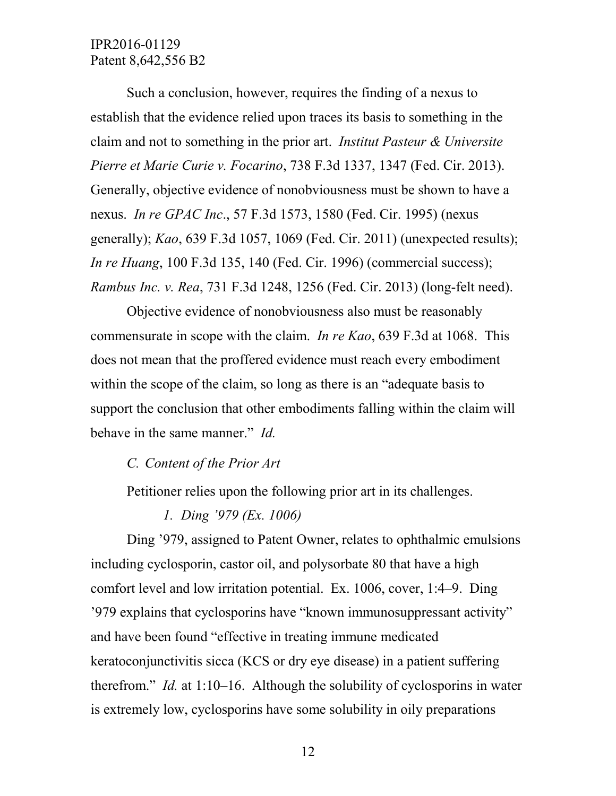Such a conclusion, however, requires the finding of a nexus to establish that the evidence relied upon traces its basis to something in the claim and not to something in the prior art. *Institut Pasteur & Universite Pierre et Marie Curie v. Focarino*, 738 F.3d 1337, 1347 (Fed. Cir. 2013). Generally, objective evidence of nonobviousness must be shown to have a nexus. *In re GPAC Inc*., 57 F.3d 1573, 1580 (Fed. Cir. 1995) (nexus generally); *Kao*, 639 F.3d 1057, 1069 (Fed. Cir. 2011) (unexpected results); *In re Huang*, 100 F.3d 135, 140 (Fed. Cir. 1996) (commercial success); *Rambus Inc. v. Rea*, 731 F.3d 1248, 1256 (Fed. Cir. 2013) (long-felt need).

Objective evidence of nonobviousness also must be reasonably commensurate in scope with the claim. *In re Kao*, 639 F.3d at 1068. This does not mean that the proffered evidence must reach every embodiment within the scope of the claim, so long as there is an "adequate basis to support the conclusion that other embodiments falling within the claim will behave in the same manner." *Id.*

## *C. Content of the Prior Art*

Petitioner relies upon the following prior art in its challenges.

*1. Ding '979 (Ex. 1006)*

Ding '979, assigned to Patent Owner, relates to ophthalmic emulsions including cyclosporin, castor oil, and polysorbate 80 that have a high comfort level and low irritation potential. Ex. 1006, cover, 1:4–9. Ding '979 explains that cyclosporins have "known immunosuppressant activity" and have been found "effective in treating immune medicated keratoconjunctivitis sicca (KCS or dry eye disease) in a patient suffering therefrom." *Id.* at 1:10–16. Although the solubility of cyclosporins in water is extremely low, cyclosporins have some solubility in oily preparations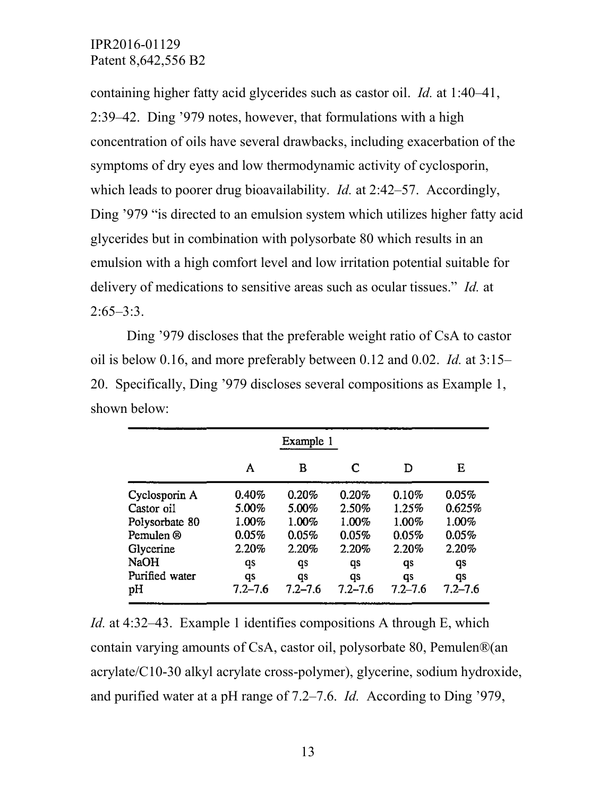containing higher fatty acid glycerides such as castor oil. *Id.* at 1:40–41, 2:39–42. Ding '979 notes, however, that formulations with a high concentration of oils have several drawbacks, including exacerbation of the symptoms of dry eyes and low thermodynamic activity of cyclosporin, which leads to poorer drug bioavailability. *Id.* at 2:42–57. Accordingly, Ding '979 "is directed to an emulsion system which utilizes higher fatty acid glycerides but in combination with polysorbate 80 which results in an emulsion with a high comfort level and low irritation potential suitable for delivery of medications to sensitive areas such as ocular tissues." *Id.* at 2:65–3:3.

Ding '979 discloses that the preferable weight ratio of CsA to castor oil is below 0.16, and more preferably between 0.12 and 0.02. *Id.* at 3:15– 20. Specifically, Ding '979 discloses several compositions as Example 1, shown below:

|                | Example 1   |             |             |             |             |
|----------------|-------------|-------------|-------------|-------------|-------------|
|                | A           | в           | C           | D           | E           |
| Cyclosporin A  | 0.40%       | 0.20%       | 0.20%       | 0.10%       | 0.05%       |
| Castor oil     | 5.00%       | 5.00%       | 2.50%       | 1.25%       | 0.625%      |
| Polysorbate 80 | 1.00%       | 1.00%       | 1.00%       | 1.00%       | 1.00%       |
| Pemulen ®      | 0.05%       | 0.05%       | 0.05%       | 0.05%       | 0.05%       |
| Glycerine      | 2.20%       | 2.20%       | 2.20%       | 2.20%       | 2.20%       |
| <b>NaOH</b>    | qs          | qs          | qs          | qs          | qs          |
| Purified water | qs          | qs          | qs          | qs          | qs          |
| pН             | $7.2 - 7.6$ | $7.2 - 7.6$ | $7.2 - 7.6$ | $7.2 - 7.6$ | $7.2 - 7.6$ |

*Id.* at 4:32–43. Example 1 identifies compositions A through E, which contain varying amounts of CsA, castor oil, polysorbate 80, Pemulen®(an acrylate/C10-30 alkyl acrylate cross-polymer), glycerine, sodium hydroxide, and purified water at a pH range of 7.2–7.6. *Id.* According to Ding '979,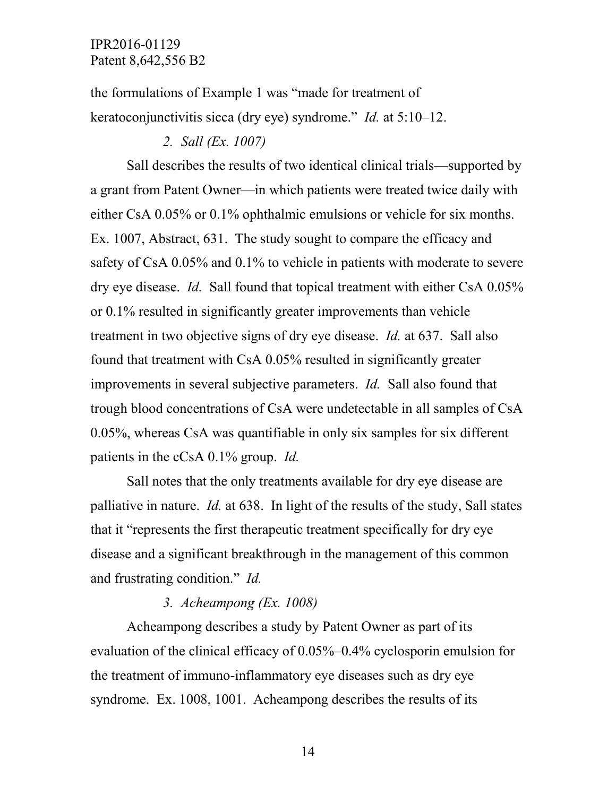the formulations of Example 1 was "made for treatment of keratoconjunctivitis sicca (dry eye) syndrome." *Id.* at 5:10–12.

#### *2. Sall (Ex. 1007)*

Sall describes the results of two identical clinical trials—supported by a grant from Patent Owner—in which patients were treated twice daily with either CsA 0.05% or 0.1% ophthalmic emulsions or vehicle for six months. Ex. 1007, Abstract, 631. The study sought to compare the efficacy and safety of CsA 0.05% and 0.1% to vehicle in patients with moderate to severe dry eye disease. *Id.* Sall found that topical treatment with either CsA 0.05% or 0.1% resulted in significantly greater improvements than vehicle treatment in two objective signs of dry eye disease. *Id.* at 637. Sall also found that treatment with CsA 0.05% resulted in significantly greater improvements in several subjective parameters. *Id.* Sall also found that trough blood concentrations of CsA were undetectable in all samples of CsA 0.05%, whereas CsA was quantifiable in only six samples for six different patients in the cCsA 0.1% group. *Id.*

Sall notes that the only treatments available for dry eye disease are palliative in nature. *Id.* at 638. In light of the results of the study, Sall states that it "represents the first therapeutic treatment specifically for dry eye disease and a significant breakthrough in the management of this common and frustrating condition." *Id.*

### *3. Acheampong (Ex. 1008)*

Acheampong describes a study by Patent Owner as part of its evaluation of the clinical efficacy of 0.05%–0.4% cyclosporin emulsion for the treatment of immuno-inflammatory eye diseases such as dry eye syndrome. Ex. 1008, 1001. Acheampong describes the results of its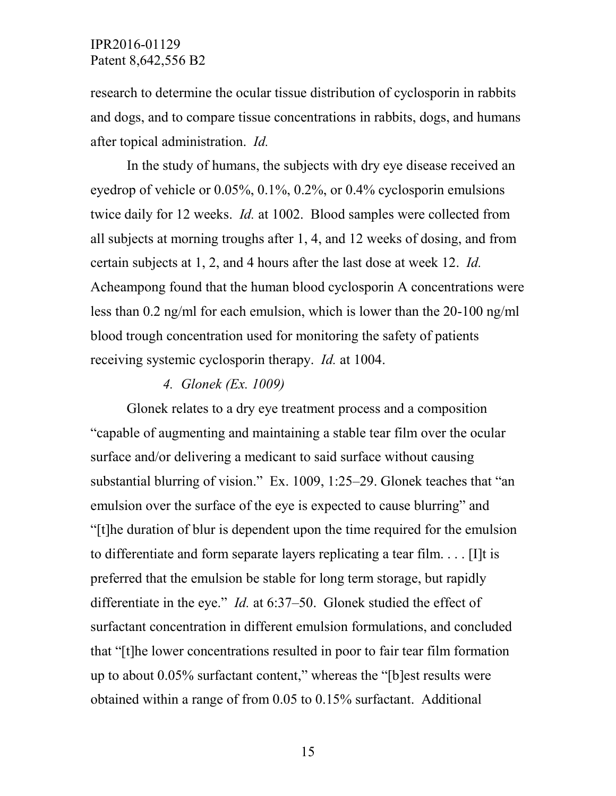research to determine the ocular tissue distribution of cyclosporin in rabbits and dogs, and to compare tissue concentrations in rabbits, dogs, and humans after topical administration. *Id.*

In the study of humans, the subjects with dry eye disease received an eyedrop of vehicle or 0.05%, 0.1%, 0.2%, or 0.4% cyclosporin emulsions twice daily for 12 weeks. *Id.* at 1002. Blood samples were collected from all subjects at morning troughs after 1, 4, and 12 weeks of dosing, and from certain subjects at 1, 2, and 4 hours after the last dose at week 12. *Id.* Acheampong found that the human blood cyclosporin A concentrations were less than 0.2 ng/ml for each emulsion, which is lower than the 20-100 ng/ml blood trough concentration used for monitoring the safety of patients receiving systemic cyclosporin therapy. *Id.* at 1004.

#### *4. Glonek (Ex. 1009)*

Glonek relates to a dry eye treatment process and a composition "capable of augmenting and maintaining a stable tear film over the ocular surface and/or delivering a medicant to said surface without causing substantial blurring of vision." Ex. 1009, 1:25–29. Glonek teaches that "an emulsion over the surface of the eye is expected to cause blurring" and "[t]he duration of blur is dependent upon the time required for the emulsion to differentiate and form separate layers replicating a tear film. . . . [I]t is preferred that the emulsion be stable for long term storage, but rapidly differentiate in the eye." *Id.* at 6:37–50. Glonek studied the effect of surfactant concentration in different emulsion formulations, and concluded that "[t]he lower concentrations resulted in poor to fair tear film formation up to about 0.05% surfactant content," whereas the "[b]est results were obtained within a range of from 0.05 to 0.15% surfactant. Additional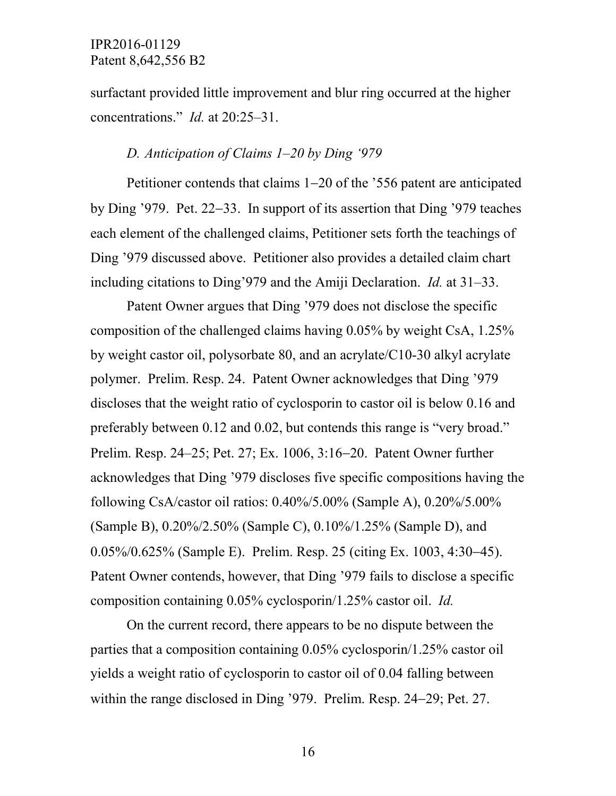surfactant provided little improvement and blur ring occurred at the higher concentrations." *Id.* at 20:25–31.

### *D. Anticipation of Claims 1–20 by Ding '979*

Petitioner contends that claims 1−20 of the '556 patent are anticipated by Ding '979. Pet. 22−33. In support of its assertion that Ding '979 teaches each element of the challenged claims, Petitioner sets forth the teachings of Ding '979 discussed above. Petitioner also provides a detailed claim chart including citations to Ding'979 and the Amiji Declaration. *Id.* at 31–33.

Patent Owner argues that Ding '979 does not disclose the specific composition of the challenged claims having 0.05% by weight CsA, 1.25% by weight castor oil, polysorbate 80, and an acrylate/C10-30 alkyl acrylate polymer. Prelim. Resp. 24. Patent Owner acknowledges that Ding '979 discloses that the weight ratio of cyclosporin to castor oil is below 0.16 and preferably between 0.12 and 0.02, but contends this range is "very broad." Prelim. Resp. 24–25; Pet. 27; Ex. 1006, 3:16−20. Patent Owner further acknowledges that Ding '979 discloses five specific compositions having the following CsA/castor oil ratios: 0.40%/5.00% (Sample A), 0.20%/5.00% (Sample B), 0.20%/2.50% (Sample C), 0.10%/1.25% (Sample D), and 0.05%/0.625% (Sample E). Prelim. Resp. 25 (citing Ex. 1003, 4:30−45). Patent Owner contends, however, that Ding '979 fails to disclose a specific composition containing 0.05% cyclosporin/1.25% castor oil. *Id.*

On the current record, there appears to be no dispute between the parties that a composition containing 0.05% cyclosporin/1.25% castor oil yields a weight ratio of cyclosporin to castor oil of 0.04 falling between within the range disclosed in Ding '979. Prelim. Resp. 24−29; Pet. 27.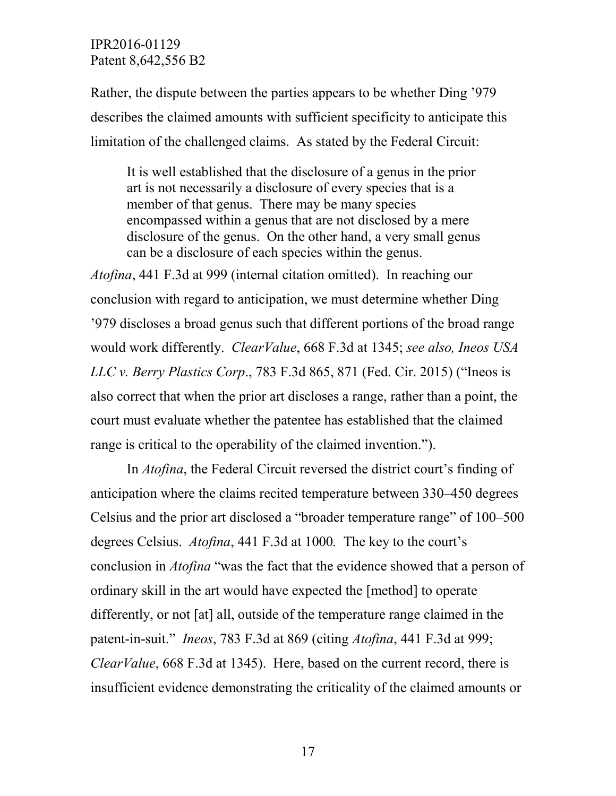Rather, the dispute between the parties appears to be whether Ding '979 describes the claimed amounts with sufficient specificity to anticipate this limitation of the challenged claims. As stated by the Federal Circuit:

It is well established that the disclosure of a genus in the prior art is not necessarily a disclosure of every species that is a member of that genus. There may be many species encompassed within a genus that are not disclosed by a mere disclosure of the genus. On the other hand, a very small genus can be a disclosure of each species within the genus.

*Atofina*, 441 F.3d at 999 (internal citation omitted). In reaching our conclusion with regard to anticipation, we must determine whether Ding '979 discloses a broad genus such that different portions of the broad range would work differently. *ClearValue*, 668 F.3d at 1345; *see also, Ineos USA LLC v. Berry Plastics Corp*., 783 F.3d 865, 871 (Fed. Cir. 2015) ("Ineos is also correct that when the prior art discloses a range, rather than a point, the court must evaluate whether the patentee has established that the claimed range is critical to the operability of the claimed invention.").

In *Atofina*, the Federal Circuit reversed the district court's finding of anticipation where the claims recited temperature between 330–450 degrees Celsius and the prior art disclosed a "broader temperature range" of 100–500 degrees Celsius. *Atofina*, 441 F.3d at 1000*.* The key to the court's conclusion in *Atofina* "was the fact that the evidence showed that a person of ordinary skill in the art would have expected the [method] to operate differently, or not [at] all, outside of the temperature range claimed in the patent-in-suit." *Ineos*, 783 F.3d at 869 (citing *Atofina*, 441 F.3d at 999; *ClearValue*, 668 F.3d at 1345). Here, based on the current record, there is insufficient evidence demonstrating the criticality of the claimed amounts or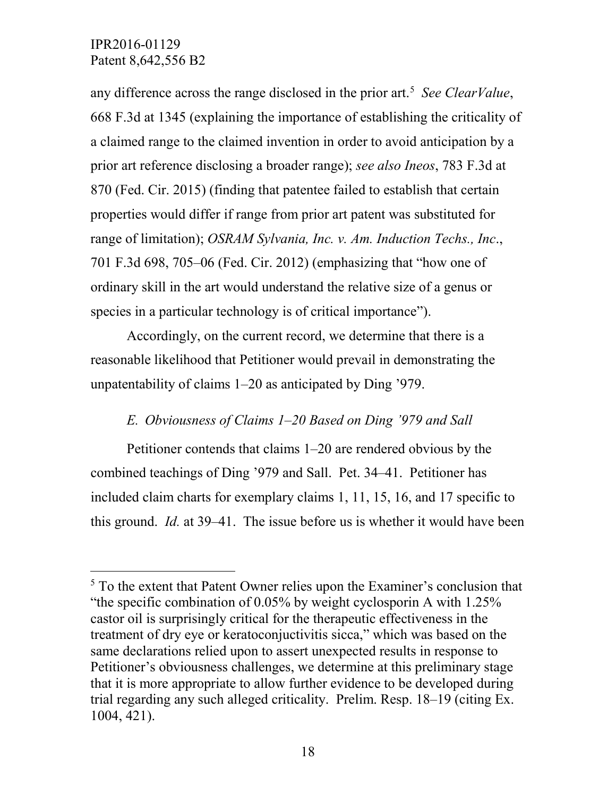any difference across the range disclosed in the prior art. [5](#page-17-0) *See ClearValue*, 668 F.3d at 1345 (explaining the importance of establishing the criticality of a claimed range to the claimed invention in order to avoid anticipation by a prior art reference disclosing a broader range); *see also Ineos*, 783 F.3d at 870 (Fed. Cir. 2015) (finding that patentee failed to establish that certain properties would differ if range from prior art patent was substituted for range of limitation); *OSRAM Sylvania, Inc. v. Am. Induction Techs., Inc*., 701 F.3d 698, 705–06 (Fed. Cir. 2012) (emphasizing that "how one of ordinary skill in the art would understand the relative size of a genus or species in a particular technology is of critical importance").

Accordingly, on the current record, we determine that there is a reasonable likelihood that Petitioner would prevail in demonstrating the unpatentability of claims 1–20 as anticipated by Ding '979.

## *E. Obviousness of Claims 1–20 Based on Ding '979 and Sall*

Petitioner contends that claims 1–20 are rendered obvious by the combined teachings of Ding '979 and Sall. Pet. 34–41. Petitioner has included claim charts for exemplary claims 1, 11, 15, 16, and 17 specific to this ground. *Id.* at 39–41. The issue before us is whether it would have been

<span id="page-17-0"></span> $<sup>5</sup>$  To the extent that Patent Owner relies upon the Examiner's conclusion that</sup> "the specific combination of 0.05% by weight cyclosporin A with 1.25% castor oil is surprisingly critical for the therapeutic effectiveness in the treatment of dry eye or keratoconjuctivitis sicca," which was based on the same declarations relied upon to assert unexpected results in response to Petitioner's obviousness challenges, we determine at this preliminary stage that it is more appropriate to allow further evidence to be developed during trial regarding any such alleged criticality. Prelim. Resp. 18–19 (citing Ex. 1004, 421).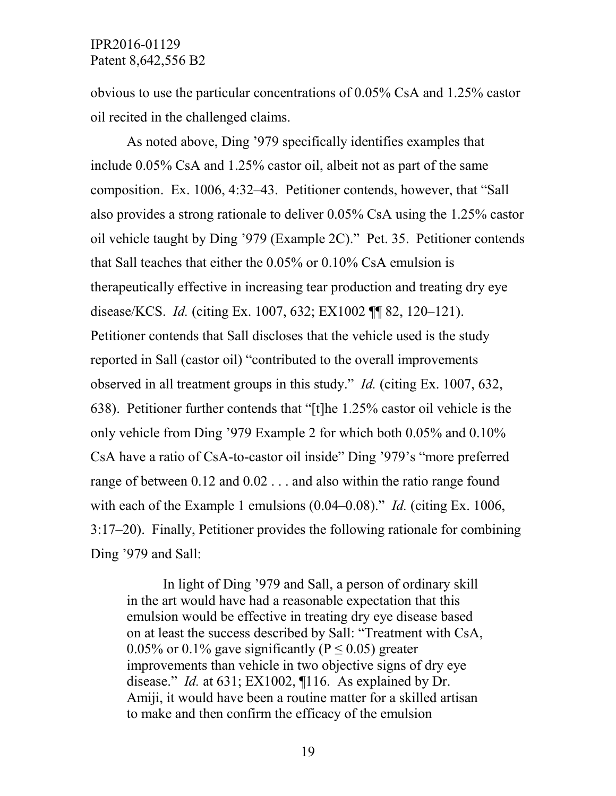obvious to use the particular concentrations of 0.05% CsA and 1.25% castor oil recited in the challenged claims.

As noted above, Ding '979 specifically identifies examples that include 0.05% CsA and 1.25% castor oil, albeit not as part of the same composition. Ex. 1006, 4:32–43. Petitioner contends, however, that "Sall also provides a strong rationale to deliver 0.05% CsA using the 1.25% castor oil vehicle taught by Ding '979 (Example 2C)." Pet. 35. Petitioner contends that Sall teaches that either the 0.05% or 0.10% CsA emulsion is therapeutically effective in increasing tear production and treating dry eye disease/KCS. *Id.* (citing Ex. 1007, 632; EX1002 ¶¶ 82, 120–121). Petitioner contends that Sall discloses that the vehicle used is the study reported in Sall (castor oil) "contributed to the overall improvements observed in all treatment groups in this study." *Id.* (citing Ex. 1007, 632, 638). Petitioner further contends that "[t]he 1.25% castor oil vehicle is the only vehicle from Ding '979 Example 2 for which both 0.05% and 0.10% CsA have a ratio of CsA-to-castor oil inside" Ding '979's "more preferred range of between 0.12 and 0.02 . . . and also within the ratio range found with each of the Example 1 emulsions  $(0.04-0.08)$ ." *Id.* (citing Ex. 1006, 3:17–20). Finally, Petitioner provides the following rationale for combining Ding '979 and Sall:

In light of Ding '979 and Sall, a person of ordinary skill in the art would have had a reasonable expectation that this emulsion would be effective in treating dry eye disease based on at least the success described by Sall: "Treatment with CsA, 0.05% or 0.1% gave significantly ( $P \le 0.05$ ) greater improvements than vehicle in two objective signs of dry eye disease." *Id.* at 631; EX1002, ¶116. As explained by Dr. Amiji, it would have been a routine matter for a skilled artisan to make and then confirm the efficacy of the emulsion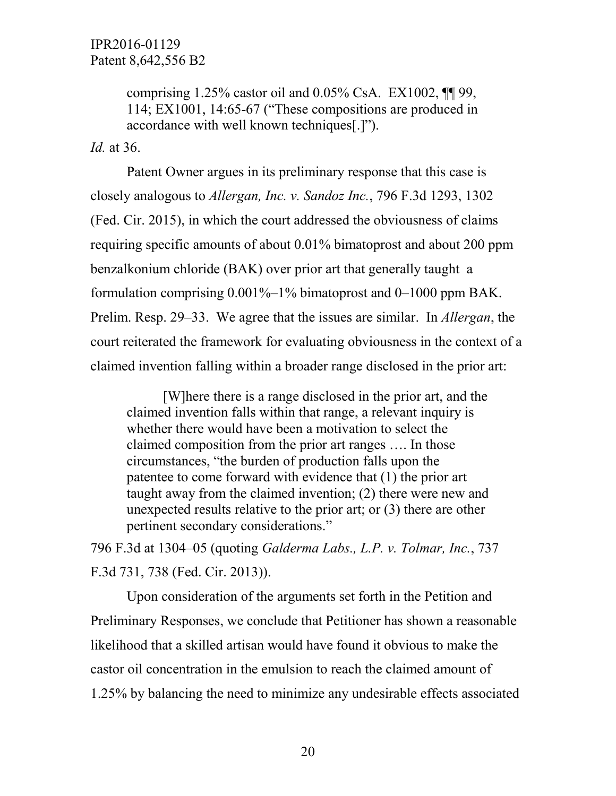comprising  $1.25\%$  castor oil and  $0.05\%$  CsA. EX1002,  $\P\P$  99, 114; EX1001, 14:65-67 ("These compositions are produced in accordance with well known techniques[.]").

*Id.* at 36.

Patent Owner argues in its preliminary response that this case is closely analogous to *Allergan, Inc. v. Sandoz Inc.*, 796 F.3d 1293, 1302 (Fed. Cir. 2015), in which the court addressed the obviousness of claims requiring specific amounts of about 0.01% bimatoprost and about 200 ppm benzalkonium chloride (BAK) over prior art that generally taught a formulation comprising  $0.001\%$ –1% bimatoprost and 0–1000 ppm BAK. Prelim. Resp. 29–33. We agree that the issues are similar. In *Allergan*, the court reiterated the framework for evaluating obviousness in the context of a claimed invention falling within a broader range disclosed in the prior art:

[W]here there is a range disclosed in the prior art, and the claimed invention falls within that range, a relevant inquiry is whether there would have been a motivation to select the claimed composition from the prior art ranges …. In those circumstances, "the burden of production falls upon the patentee to come forward with evidence that (1) the prior art taught away from the claimed invention; (2) there were new and unexpected results relative to the prior art; or (3) there are other pertinent secondary considerations."

796 F.3d at 1304–05 (quoting *Galderma Labs., L.P. v. Tolmar, Inc.*, 737 F.3d 731, 738 (Fed. Cir. 2013)).

Upon consideration of the arguments set forth in the Petition and Preliminary Responses, we conclude that Petitioner has shown a reasonable likelihood that a skilled artisan would have found it obvious to make the castor oil concentration in the emulsion to reach the claimed amount of 1.25% by balancing the need to minimize any undesirable effects associated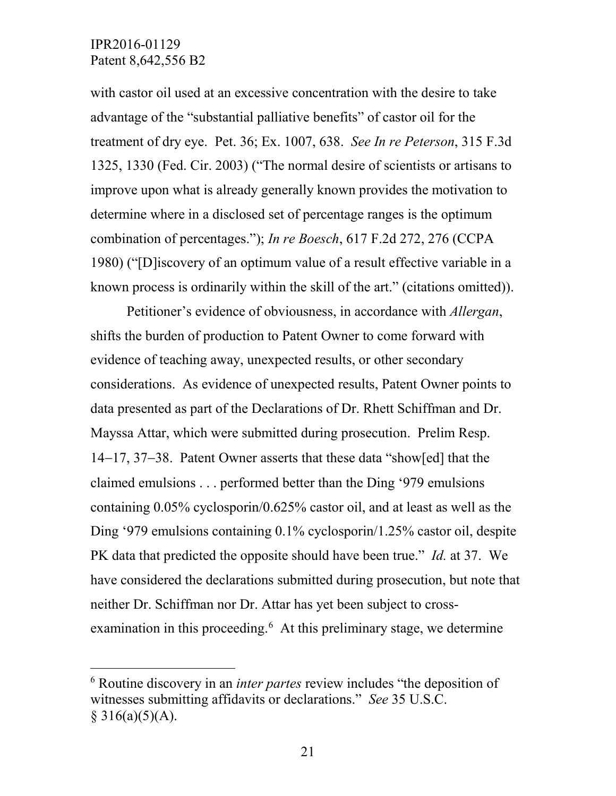with castor oil used at an excessive concentration with the desire to take advantage of the "substantial palliative benefits" of castor oil for the treatment of dry eye. Pet. 36; Ex. 1007, 638. *See In re Peterson*, 315 F.3d 1325, 1330 (Fed. Cir. 2003) ("The normal desire of scientists or artisans to improve upon what is already generally known provides the motivation to determine where in a disclosed set of percentage ranges is the optimum combination of percentages."); *In re Boesch*, 617 F.2d 272, 276 (CCPA 1980) ("[D]iscovery of an optimum value of a result effective variable in a known process is ordinarily within the skill of the art." (citations omitted)).

Petitioner's evidence of obviousness, in accordance with *Allergan*, shifts the burden of production to Patent Owner to come forward with evidence of teaching away, unexpected results, or other secondary considerations. As evidence of unexpected results, Patent Owner points to data presented as part of the Declarations of Dr. Rhett Schiffman and Dr. Mayssa Attar, which were submitted during prosecution. Prelim Resp. 14−17, 37−38. Patent Owner asserts that these data "show[ed] that the claimed emulsions . . . performed better than the Ding '979 emulsions containing 0.05% cyclosporin/0.625% castor oil, and at least as well as the Ding '979 emulsions containing 0.1% cyclosporin/1.25% castor oil, despite PK data that predicted the opposite should have been true." *Id.* at 37. We have considered the declarations submitted during prosecution, but note that neither Dr. Schiffman nor Dr. Attar has yet been subject to cross-examination in this proceeding.<sup>[6](#page-20-0)</sup> At this preliminary stage, we determine

<span id="page-20-0"></span> <sup>6</sup> Routine discovery in an *inter partes* review includes "the deposition of witnesses submitting affidavits or declarations." *See* 35 U.S.C.  $§ 316(a)(5)(A).$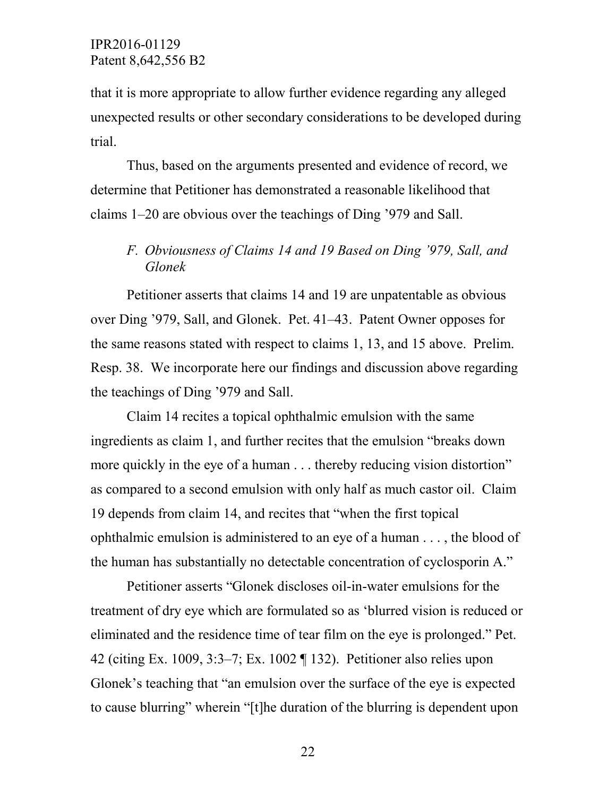that it is more appropriate to allow further evidence regarding any alleged unexpected results or other secondary considerations to be developed during trial.

Thus, based on the arguments presented and evidence of record, we determine that Petitioner has demonstrated a reasonable likelihood that claims 1–20 are obvious over the teachings of Ding '979 and Sall.

## *F. Obviousness of Claims 14 and 19 Based on Ding '979, Sall, and Glonek*

Petitioner asserts that claims 14 and 19 are unpatentable as obvious over Ding '979, Sall, and Glonek. Pet. 41–43. Patent Owner opposes for the same reasons stated with respect to claims 1, 13, and 15 above. Prelim. Resp. 38. We incorporate here our findings and discussion above regarding the teachings of Ding '979 and Sall.

Claim 14 recites a topical ophthalmic emulsion with the same ingredients as claim 1, and further recites that the emulsion "breaks down more quickly in the eye of a human . . . thereby reducing vision distortion" as compared to a second emulsion with only half as much castor oil. Claim 19 depends from claim 14, and recites that "when the first topical ophthalmic emulsion is administered to an eye of a human . . . , the blood of the human has substantially no detectable concentration of cyclosporin A."

Petitioner asserts "Glonek discloses oil-in-water emulsions for the treatment of dry eye which are formulated so as 'blurred vision is reduced or eliminated and the residence time of tear film on the eye is prolonged." Pet. 42 (citing Ex. 1009, 3:3–7; Ex. 1002 ¶ 132). Petitioner also relies upon Glonek's teaching that "an emulsion over the surface of the eye is expected to cause blurring" wherein "[t]he duration of the blurring is dependent upon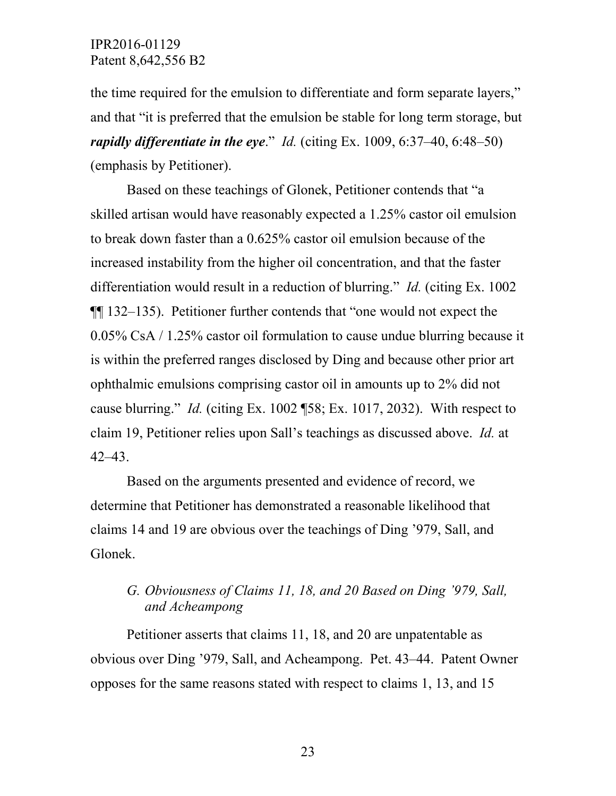the time required for the emulsion to differentiate and form separate layers," and that "it is preferred that the emulsion be stable for long term storage, but *rapidly differentiate in the eye*." *Id.* (citing Ex. 1009, 6:37–40, 6:48–50) (emphasis by Petitioner).

Based on these teachings of Glonek, Petitioner contends that "a skilled artisan would have reasonably expected a 1.25% castor oil emulsion to break down faster than a 0.625% castor oil emulsion because of the increased instability from the higher oil concentration, and that the faster differentiation would result in a reduction of blurring." *Id.* (citing Ex. 1002 ¶¶ 132–135). Petitioner further contends that "one would not expect the 0.05% CsA / 1.25% castor oil formulation to cause undue blurring because it is within the preferred ranges disclosed by Ding and because other prior art ophthalmic emulsions comprising castor oil in amounts up to 2% did not cause blurring." *Id.* (citing Ex. 1002 ¶58; Ex. 1017, 2032). With respect to claim 19, Petitioner relies upon Sall's teachings as discussed above. *Id.* at 42–43.

Based on the arguments presented and evidence of record, we determine that Petitioner has demonstrated a reasonable likelihood that claims 14 and 19 are obvious over the teachings of Ding '979, Sall, and Glonek.

# *G. Obviousness of Claims 11, 18, and 20 Based on Ding '979, Sall, and Acheampong*

Petitioner asserts that claims 11, 18, and 20 are unpatentable as obvious over Ding '979, Sall, and Acheampong. Pet. 43–44. Patent Owner opposes for the same reasons stated with respect to claims 1, 13, and 15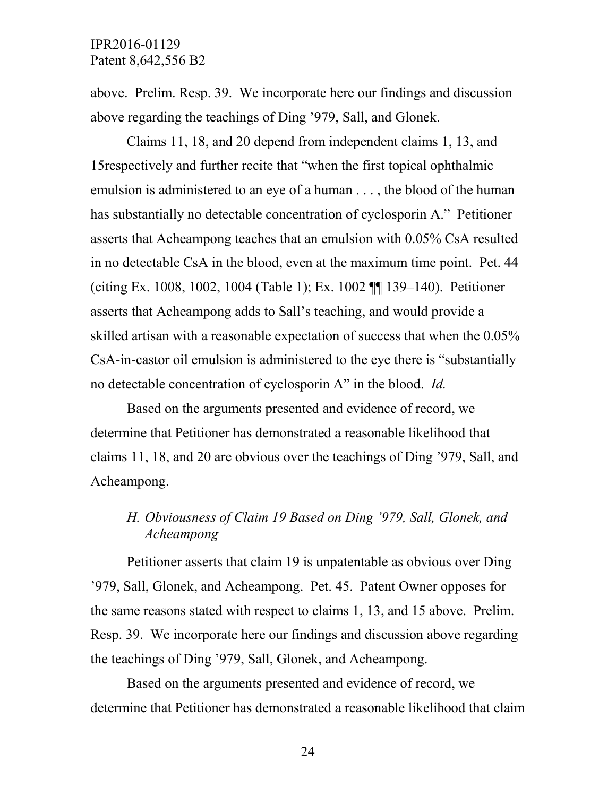above. Prelim. Resp. 39. We incorporate here our findings and discussion above regarding the teachings of Ding '979, Sall, and Glonek.

Claims 11, 18, and 20 depend from independent claims 1, 13, and 15respectively and further recite that "when the first topical ophthalmic emulsion is administered to an eye of a human . . . , the blood of the human has substantially no detectable concentration of cyclosporin A." Petitioner asserts that Acheampong teaches that an emulsion with 0.05% CsA resulted in no detectable CsA in the blood, even at the maximum time point. Pet. 44 (citing Ex. 1008, 1002, 1004 (Table 1); Ex. 1002 ¶¶ 139–140). Petitioner asserts that Acheampong adds to Sall's teaching, and would provide a skilled artisan with a reasonable expectation of success that when the 0.05% CsA-in-castor oil emulsion is administered to the eye there is "substantially no detectable concentration of cyclosporin A" in the blood. *Id.* 

Based on the arguments presented and evidence of record, we determine that Petitioner has demonstrated a reasonable likelihood that claims 11, 18, and 20 are obvious over the teachings of Ding '979, Sall, and Acheampong.

# *H. Obviousness of Claim 19 Based on Ding '979, Sall, Glonek, and Acheampong*

Petitioner asserts that claim 19 is unpatentable as obvious over Ding '979, Sall, Glonek, and Acheampong. Pet. 45. Patent Owner opposes for the same reasons stated with respect to claims 1, 13, and 15 above. Prelim. Resp. 39. We incorporate here our findings and discussion above regarding the teachings of Ding '979, Sall, Glonek, and Acheampong.

Based on the arguments presented and evidence of record, we determine that Petitioner has demonstrated a reasonable likelihood that claim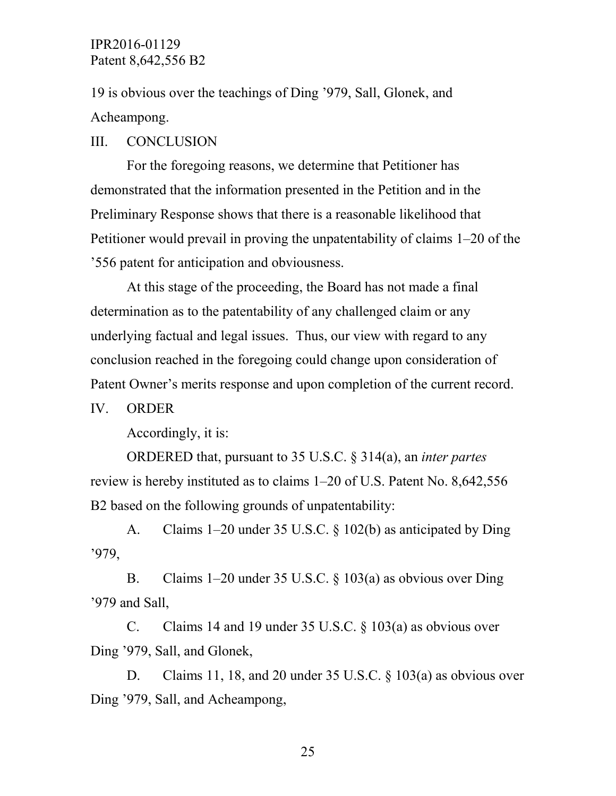19 is obvious over the teachings of Ding '979, Sall, Glonek, and Acheampong.

#### III. CONCLUSION

For the foregoing reasons, we determine that Petitioner has demonstrated that the information presented in the Petition and in the Preliminary Response shows that there is a reasonable likelihood that Petitioner would prevail in proving the unpatentability of claims 1–20 of the '556 patent for anticipation and obviousness.

At this stage of the proceeding, the Board has not made a final determination as to the patentability of any challenged claim or any underlying factual and legal issues. Thus, our view with regard to any conclusion reached in the foregoing could change upon consideration of Patent Owner's merits response and upon completion of the current record.

IV. ORDER

Accordingly, it is:

ORDERED that, pursuant to 35 U.S.C. § 314(a), an *inter partes* review is hereby instituted as to claims 1–20 of U.S. Patent No. 8,642,556 B2 based on the following grounds of unpatentability:

A. Claims 1–20 under 35 U.S.C. § 102(b) as anticipated by Ding '979,

B. Claims 1–20 under 35 U.S.C. § 103(a) as obvious over Ding '979 and Sall,

C. Claims 14 and 19 under 35 U.S.C. § 103(a) as obvious over Ding '979, Sall, and Glonek,

D. Claims 11, 18, and 20 under 35 U.S.C. § 103(a) as obvious over Ding '979, Sall, and Acheampong,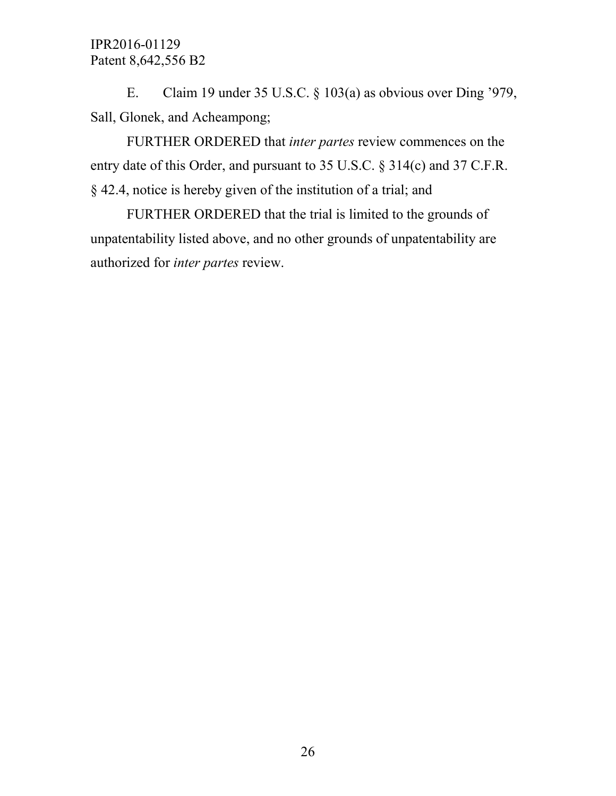E. Claim 19 under 35 U.S.C. § 103(a) as obvious over Ding '979, Sall, Glonek, and Acheampong;

FURTHER ORDERED that *inter partes* review commences on the entry date of this Order, and pursuant to 35 U.S.C. § 314(c) and 37 C.F.R. § 42.4, notice is hereby given of the institution of a trial; and

FURTHER ORDERED that the trial is limited to the grounds of unpatentability listed above, and no other grounds of unpatentability are authorized for *inter partes* review.